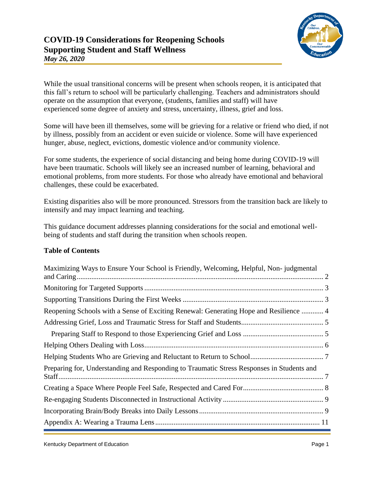

While the usual transitional concerns will be present when schools reopen, it is anticipated that this fall's return to school will be particularly challenging. Teachers and administrators should operate on the assumption that everyone, (students, families and staff) will have experienced some degree of anxiety and stress, uncertainty, illness, grief and loss.

Some will have been ill themselves, some will be grieving for a relative or friend who died, if not by illness, possibly from an accident or even suicide or violence. Some will have experienced hunger, abuse, neglect, evictions, domestic violence and/or community violence.

For some students, the experience of social distancing and being home during COVID-19 will have been traumatic. Schools will likely see an increased number of learning, behavioral and emotional problems, from more students. For those who already have emotional and behavioral challenges, these could be exacerbated.

Existing disparities also will be more pronounced. Stressors from the transition back are likely to intensify and may impact learning and teaching.

This guidance document addresses planning considerations for the social and emotional wellbeing of students and staff during the transition when schools reopen.

### **Table of Contents**

| Maximizing Ways to Ensure Your School is Friendly, Welcoming, Helpful, Non-judgmental     |  |
|-------------------------------------------------------------------------------------------|--|
|                                                                                           |  |
|                                                                                           |  |
| Reopening Schools with a Sense of Exciting Renewal: Generating Hope and Resilience  4     |  |
|                                                                                           |  |
|                                                                                           |  |
|                                                                                           |  |
|                                                                                           |  |
| Preparing for, Understanding and Responding to Traumatic Stress Responses in Students and |  |
|                                                                                           |  |
|                                                                                           |  |
|                                                                                           |  |
|                                                                                           |  |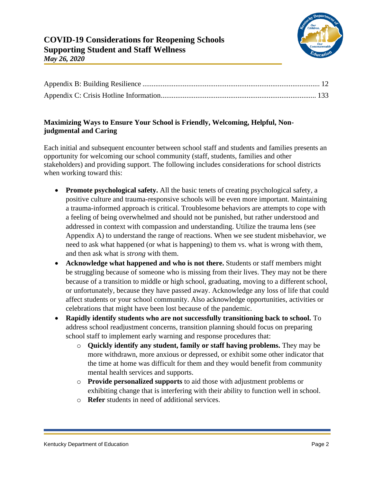## <span id="page-1-0"></span>**Maximizing Ways to Ensure Your School is Friendly, Welcoming, Helpful, Nonjudgmental and Caring**

Each initial and subsequent encounter between school staff and students and families presents an opportunity for welcoming our school community (staff, students, families and other stakeholders) and providing support. The following includes considerations for school districts when working toward this:

- **Promote psychological safety.** All the basic tenets of creating psychological safety, a positive culture and trauma-responsive schools will be even more important. Maintaining a trauma-informed approach is critical. Troublesome behaviors are attempts to cope with a feeling of being overwhelmed and should not be punished, but rather understood and addressed in context with compassion and understanding. Utilize the trauma lens (see Appendix A) to understand the range of reactions. When we see student misbehavior, we need to ask what happened (or what is happening) to them vs. what is wrong with them, and then ask what is *strong* with them.
- **Acknowledge what happened and who is not there.** Students or staff members might be struggling because of someone who is missing from their lives. They may not be there because of a transition to middle or high school, graduating, moving to a different school, or unfortunately, because they have passed away. Acknowledge any loss of life that could affect students or your school community. Also acknowledge opportunities, activities or celebrations that might have been lost because of the pandemic.
- **Rapidly identify students who are not successfully transitioning back to school.** To address school readjustment concerns, transition planning should focus on preparing school staff to implement early warning and response procedures that:
	- o **Quickly identify any student, family or staff having problems.** They may be more withdrawn, more anxious or depressed, or exhibit some other indicator that the time at home was difficult for them and they would benefit from community mental health services and supports.
	- o **Provide personalized supports** to aid those with adjustment problems or exhibiting change that is interfering with their ability to function well in school.
	- o **Refer** students in need of additional services.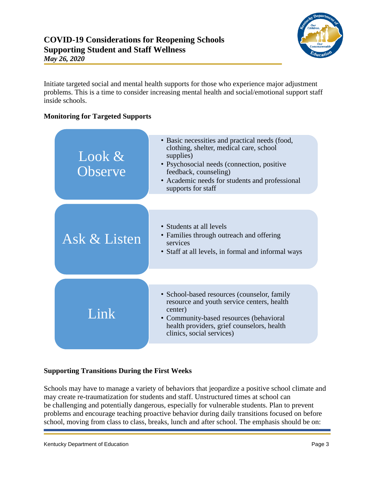

Initiate targeted social and mental health supports for those who experience major adjustment problems. This is a time to consider increasing mental health and social/emotional support staff inside schools.

## <span id="page-2-0"></span>**Monitoring for Targeted Supports**

| Look $\&$<br>Observe | • Basic necessities and practical needs (food,<br>clothing, shelter, medical care, school<br>supplies)<br>• Psychosocial needs (connection, positive<br>feedback, counseling)<br>• Academic needs for students and professional<br>supports for staff |
|----------------------|-------------------------------------------------------------------------------------------------------------------------------------------------------------------------------------------------------------------------------------------------------|
| Ask & Listen         | • Students at all levels<br>• Families through outreach and offering<br>services<br>• Staff at all levels, in formal and informal ways                                                                                                                |
| Link                 | • School-based resources (counselor, family<br>resource and youth service centers, health<br>center)<br>• Community-based resources (behavioral<br>health providers, grief counselors, health<br>clinics, social services)                            |

### <span id="page-2-1"></span>**Supporting Transitions During the First Weeks**

Schools may have to manage a variety of behaviors that jeopardize a positive school climate and may create re-traumatization for students and staff. Unstructured times at school can be challenging and potentially dangerous, especially for vulnerable students. Plan to prevent problems and encourage teaching proactive behavior during daily transitions focused on before school, moving from class to class, breaks, lunch and after school. The emphasis should be on: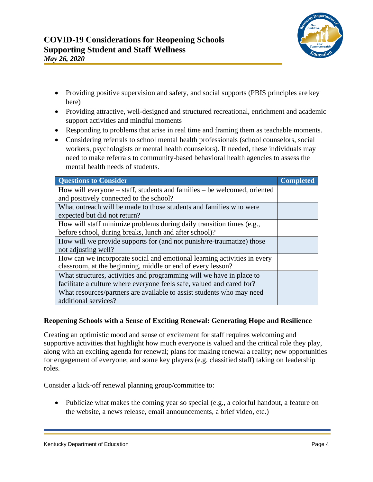

- Providing positive supervision and safety, and social supports (PBIS principles are key here)
- Providing attractive, well-designed and structured recreational, enrichment and academic support activities and mindful moments
- Responding to problems that arise in real time and framing them as teachable moments.
- Considering referrals to school mental health professionals (school counselors, social workers, psychologists or mental health counselors). If needed, these individuals may need to make referrals to community-based behavioral health agencies to assess the mental health needs of students.

| <b>Questions to Consider</b>                                             | <b>Completed</b> |
|--------------------------------------------------------------------------|------------------|
| How will everyone – staff, students and families – be welcomed, oriented |                  |
| and positively connected to the school?                                  |                  |
| What outreach will be made to those students and families who were       |                  |
| expected but did not return?                                             |                  |
| How will staff minimize problems during daily transition times (e.g.,    |                  |
| before school, during breaks, lunch and after school)?                   |                  |
| How will we provide supports for (and not punish/re-traumatize) those    |                  |
| not adjusting well?                                                      |                  |
| How can we incorporate social and emotional learning activities in every |                  |
| classroom, at the beginning, middle or end of every lesson?              |                  |
| What structures, activities and programming will we have in place to     |                  |
| facilitate a culture where everyone feels safe, valued and cared for?    |                  |
| What resources/partners are available to assist students who may need    |                  |
| additional services?                                                     |                  |

### <span id="page-3-0"></span>**Reopening Schools with a Sense of Exciting Renewal: Generating Hope and Resilience**

Creating an optimistic mood and sense of excitement for staff requires welcoming and supportive activities that highlight how much everyone is valued and the critical role they play, along with an exciting agenda for renewal; plans for making renewal a reality; new opportunities for engagement of everyone; and some key players (e.g. classified staff) taking on leadership roles.

Consider a kick-off renewal planning group/committee to:

• Publicize what makes the coming year so special (e.g., a colorful handout, a feature on the website, a news release, email announcements, a brief video, etc.)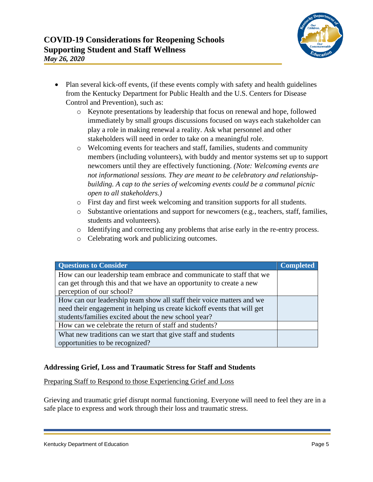

- Plan several kick-off events, (if these events comply with safety and health guidelines from the Kentucky Department for Public Health and the U.S. Centers for Disease Control and Prevention), such as:
	- o Keynote presentations by leadership that focus on renewal and hope, followed immediately by small groups discussions focused on ways each stakeholder can play a role in making renewal a reality. Ask what personnel and other stakeholders will need in order to take on a meaningful role.
	- o Welcoming events for teachers and staff, families, students and community members (including volunteers), with buddy and mentor systems set up to support newcomers until they are effectively functioning. *(Note: Welcoming events are not informational sessions. They are meant to be celebratory and relationshipbuilding. A cap to the series of welcoming events could be a communal picnic open to all stakeholders.)*
	- o First day and first week welcoming and transition supports for all students.
	- o Substantive orientations and support for newcomers (e.g., teachers, staff, families, students and volunteers).
	- o Identifying and correcting any problems that arise early in the re-entry process.
	- o Celebrating work and publicizing outcomes.

| <b>Questions to Consider</b>                                            | <b>Completed</b> |
|-------------------------------------------------------------------------|------------------|
| How can our leadership team embrace and communicate to staff that we    |                  |
| can get through this and that we have an opportunity to create a new    |                  |
| perception of our school?                                               |                  |
| How can our leadership team show all staff their voice matters and we   |                  |
| need their engagement in helping us create kickoff events that will get |                  |
| students/families excited about the new school year?                    |                  |
| How can we celebrate the return of staff and students?                  |                  |
| What new traditions can we start that give staff and students           |                  |
| opportunities to be recognized?                                         |                  |

### <span id="page-4-0"></span>**Addressing Grief, Loss and Traumatic Stress for Staff and Students**

<span id="page-4-1"></span>Preparing Staff to Respond to those Experiencing Grief and Loss

Grieving and traumatic grief disrupt normal functioning. Everyone will need to feel they are in a safe place to express and work through their loss and traumatic stress.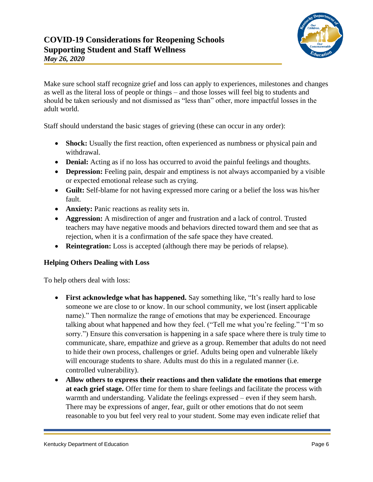

Make sure school staff recognize grief and loss can apply to experiences, milestones and changes as well as the literal loss of people or things – and those losses will feel big to students and should be taken seriously and not dismissed as "less than" other, more impactful losses in the adult world.

Staff should understand the basic stages of grieving (these can occur in any order):

- **Shock:** Usually the first reaction, often experienced as numbness or physical pain and withdrawal.
- **Denial:** Acting as if no loss has occurred to avoid the painful feelings and thoughts.
- **Depression:** Feeling pain, despair and emptiness is not always accompanied by a visible or expected emotional release such as crying.
- **Guilt:** Self-blame for not having expressed more caring or a belief the loss was his/her fault.
- **Anxiety:** Panic reactions as reality sets in.
- **Aggression:** A misdirection of anger and frustration and a lack of control. Trusted teachers may have negative moods and behaviors directed toward them and see that as rejection, when it is a confirmation of the safe space they have created.
- **Reintegration:** Loss is accepted (although there may be periods of relapse).

### <span id="page-5-0"></span>**Helping Others Dealing with Loss**

To help others deal with loss:

- First acknowledge what has happened. Say something like, "It's really hard to lose someone we are close to or know. In our school community, we lost (insert applicable name)." Then normalize the range of emotions that may be experienced. Encourage talking about what happened and how they feel. ("Tell me what you're feeling." "I'm so sorry.") Ensure this conversation is happening in a safe space where there is truly time to communicate, share, empathize and grieve as a group. Remember that adults do not need to hide their own process, challenges or grief. Adults being open and vulnerable likely will encourage students to share. Adults must do this in a regulated manner (i.e. controlled vulnerability).
- **Allow others to express their reactions and then validate the emotions that emerge at each grief stage.** Offer time for them to share feelings and facilitate the process with warmth and understanding. Validate the feelings expressed – even if they seem harsh. There may be expressions of anger, fear, guilt or other emotions that do not seem reasonable to you but feel very real to your student. Some may even indicate relief that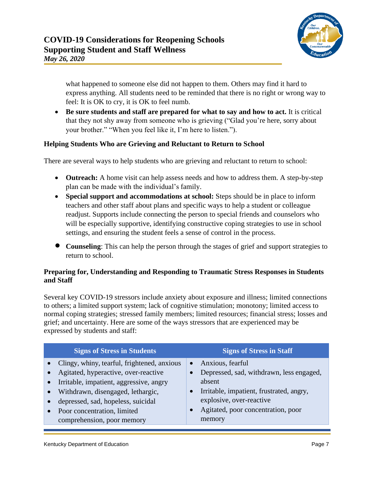

what happened to someone else did not happen to them. Others may find it hard to express anything. All students need to be reminded that there is no right or wrong way to feel: It is OK to cry, it is OK to feel numb.

• **Be sure students and staff are prepared for what to say and how to act.** It is critical that they not shy away from someone who is grieving ("Glad you're here, sorry about your brother." "When you feel like it, I'm here to listen.").

### <span id="page-6-0"></span>**Helping Students Who are Grieving and Reluctant to Return to School**

There are several ways to help students who are grieving and reluctant to return to school:

- **Outreach:** A home visit can help assess needs and how to address them. A step-by-step plan can be made with the individual's family.
- **Special support and accommodations at school:** Steps should be in place to inform teachers and other staff about plans and specific ways to help a student or colleague readjust. Supports include connecting the person to special friends and counselors who will be especially supportive, identifying constructive coping strategies to use in school settings, and ensuring the student feels a sense of control in the process.
- **Counseling**: This can help the person through the stages of grief and support strategies to return to school.

### <span id="page-6-1"></span>**Preparing for, Understanding and Responding to Traumatic Stress Responses in Students and Staff**

Several key COVID-19 stressors include anxiety about exposure and illness; limited connections to others; a limited support system; lack of cognitive stimulation; monotony; limited access to normal coping strategies; stressed family members; limited resources; financial stress; losses and grief; and uncertainty. Here are some of the ways stressors that are experienced may be expressed by students and staff:

| <b>Signs of Stress in Students</b>                                                                                                                                                                                                                                     | <b>Signs of Stress in Staff</b>                                                                                                                                                                             |
|------------------------------------------------------------------------------------------------------------------------------------------------------------------------------------------------------------------------------------------------------------------------|-------------------------------------------------------------------------------------------------------------------------------------------------------------------------------------------------------------|
| Clingy, whiny, tearful, frightened, anxious<br>Agitated, hyperactive, over-reactive<br>Irritable, impatient, aggressive, angry<br>Withdrawn, disengaged, lethargic,<br>depressed, sad, hopeless, suicidal<br>Poor concentration, limited<br>comprehension, poor memory | Anxious, fearful<br>$\bullet$<br>Depressed, sad, withdrawn, less engaged,<br>absent<br>Irritable, impatient, frustrated, angry,<br>explosive, over-reactive<br>Agitated, poor concentration, poor<br>memory |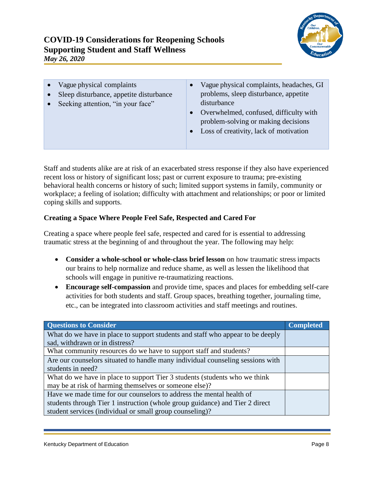

- Vague physical complaints
- Sleep disturbance, appetite disturbance
- Seeking attention, "in your face"
- Vague physical complaints, headaches, GI problems, sleep disturbance, appetite disturbance
- Overwhelmed, confused, difficulty with problem-solving or making decisions
- Loss of creativity, lack of motivation

Staff and students alike are at risk of an exacerbated stress response if they also have experienced recent loss or history of significant loss; past or current exposure to trauma; pre-existing behavioral health concerns or history of such; limited support systems in family, community or workplace; a feeling of isolation; difficulty with attachment and relationships; or poor or limited coping skills and supports.

## <span id="page-7-0"></span>**Creating a Space Where People Feel Safe, Respected and Cared For**

Creating a space where people feel safe, respected and cared for is essential to addressing traumatic stress at the beginning of and throughout the year. The following may help:

- **Consider a whole-school or whole-class brief lesson** on how traumatic stress impacts our brains to help normalize and reduce shame, as well as lessen the likelihood that schools will engage in punitive re-traumatizing reactions.
- **Encourage self-compassion** and provide time, spaces and places for embedding self-care activities for both students and staff. Group spaces, breathing together, journaling time, etc., can be integrated into classroom activities and staff meetings and routines.

| <b>Questions to Consider</b>                                                   | <b>Completed</b> |
|--------------------------------------------------------------------------------|------------------|
| What do we have in place to support students and staff who appear to be deeply |                  |
| sad, withdrawn or in distress?                                                 |                  |
| What community resources do we have to support staff and students?             |                  |
| Are our counselors situated to handle many individual counseling sessions with |                  |
| students in need?                                                              |                  |
| What do we have in place to support Tier 3 students (students who we think     |                  |
| may be at risk of harming themselves or someone else)?                         |                  |
| Have we made time for our counselors to address the mental health of           |                  |
| students through Tier 1 instruction (whole group guidance) and Tier 2 direct   |                  |
| student services (individual or small group counseling)?                       |                  |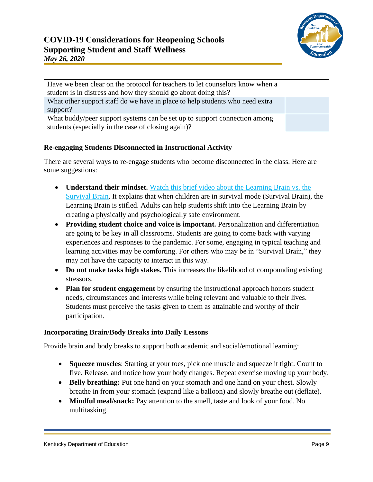| Have we been clear on the protocol for teachers to let counselors know when a<br>student is in distress and how they should go about doing this? |  |
|--------------------------------------------------------------------------------------------------------------------------------------------------|--|
| What other support staff do we have in place to help students who need extra<br>support?                                                         |  |
| What buddy/peer support systems can be set up to support connection among<br>students (especially in the case of closing again)?                 |  |

### <span id="page-8-0"></span>**Re-engaging Students Disconnected in Instructional Activity**

There are several ways to re-engage students who become disconnected in the class. Here are some suggestions:

- **Understand their mindset.** [Watch this brief video about the Learning Brain vs. the](https://www.youtube.com/watch?reload=9&v=KoqaUANGvpA) [Survival Brain.](https://www.youtube.com/watch?reload=9&v=KoqaUANGvpA) It explains that when children are in survival mode (Survival Brain), the Learning Brain is stifled. Adults can help students shift into the Learning Brain by creating a physically and psychologically safe environment.
- **Providing student choice and voice is important.** Personalization and differentiation are going to be key in all classrooms. Students are going to come back with varying experiences and responses to the pandemic. For some, engaging in typical teaching and learning activities may be comforting. For others who may be in "Survival Brain," they may not have the capacity to interact in this way.
- **Do not make tasks high stakes.** This increases the likelihood of compounding existing stressors.
- **Plan for student engagement** by ensuring the instructional approach honors student needs, circumstances and interests while being relevant and valuable to their lives. Students must perceive the tasks given to them as attainable and worthy of their participation.

### <span id="page-8-1"></span>**Incorporating Brain/Body Breaks into Daily Lessons**

Provide brain and body breaks to support both academic and social/emotional learning:

- **Squeeze muscles**: Starting at your toes, pick one muscle and squeeze it tight. Count to five. Release, and notice how your body changes. Repeat exercise moving up your body.
- **Belly breathing:** Put one hand on your stomach and one hand on your chest. Slowly breathe in from your stomach (expand like a balloon) and slowly breathe out (deflate).
- **Mindful meal/snack:** Pay attention to the smell, taste and look of your food. No multitasking.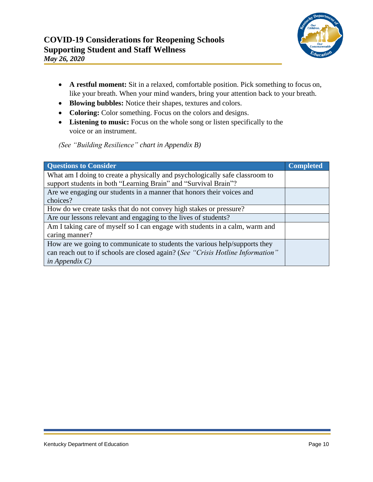

- **A restful moment:** Sit in a relaxed, comfortable position. Pick something to focus on, like your breath. When your mind wanders, bring your attention back to your breath.
- **Blowing bubbles:** Notice their shapes, textures and colors.
- **Coloring:** Color something. Focus on the colors and designs.
- **Listening to music:** Focus on the whole song or listen specifically to the voice or an instrument.

*(See "Building Resilience" chart in Appendix B)*

| <b>Questions to Consider</b>                                                                                                                                                       | <b>Completed</b> |
|------------------------------------------------------------------------------------------------------------------------------------------------------------------------------------|------------------|
| What am I doing to create a physically and psychologically safe classroom to<br>support students in both "Learning Brain" and "Survival Brain"?                                    |                  |
| Are we engaging our students in a manner that honors their voices and<br>choices?                                                                                                  |                  |
| How do we create tasks that do not convey high stakes or pressure?                                                                                                                 |                  |
| Are our lessons relevant and engaging to the lives of students?                                                                                                                    |                  |
| Am I taking care of myself so I can engage with students in a calm, warm and<br>caring manner?                                                                                     |                  |
| How are we going to communicate to students the various help/supports they<br>can reach out to if schools are closed again? (See "Crisis Hotline Information"<br>in Appendix $C$ ) |                  |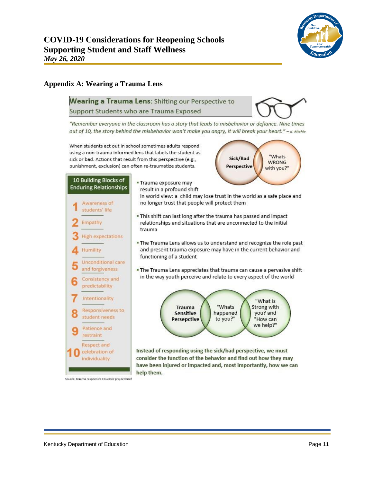

#### <span id="page-10-0"></span>**Appendix A: Wearing a Trauma Lens**

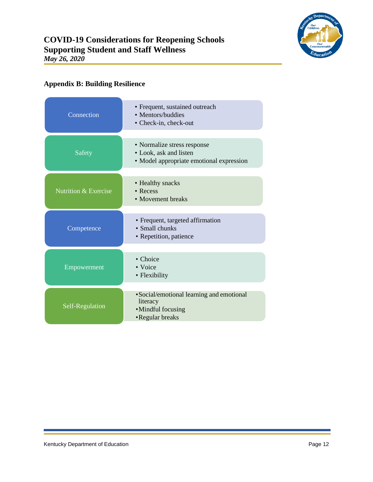

# <span id="page-11-0"></span>**Appendix B: Building Resilience**

| Connection                      | • Frequent, sustained outreach<br>• Mentors/buddies<br>• Check-in, check-out                      |
|---------------------------------|---------------------------------------------------------------------------------------------------|
| Safety                          | • Normalize stress response<br>• Look, ask and listen<br>• Model appropriate emotional expression |
| <b>Nutrition &amp; Exercise</b> | • Healthy snacks<br>• Recess<br>• Movement breaks                                                 |
| Competence                      | • Frequent, targeted affirmation<br>• Small chunks<br>• Repetition, patience                      |
| Empowerment                     | • Choice<br>• Voice<br>• Flexibility                                                              |
| Self-Regulation                 | • Social/emotional learning and emotional<br>literacy<br>•Mindful focusing<br>•Regular breaks     |